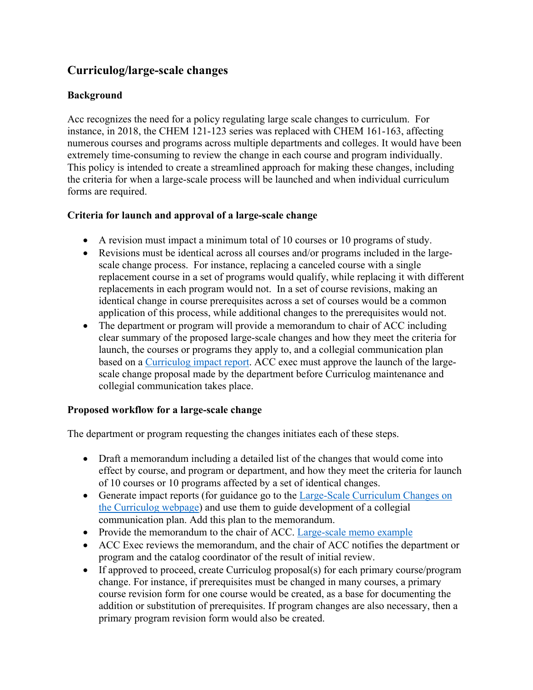## **Curriculog/large-scale changes**

## **Background**

Acc recognizes the need for a policy regulating large scale changes to curriculum. For instance, in 2018, the CHEM 121-123 series was replaced with CHEM 161-163, affecting numerous courses and programs across multiple departments and colleges. It would have been extremely time-consuming to review the change in each course and program individually. This policy is intended to create a streamlined approach for making these changes, including the criteria for when a large-scale process will be launched and when individual curriculum forms are required.

## **Criteria for launch and approval of a large-scale change**

- A revision must impact a minimum total of 10 courses or 10 programs of study.
- Revisions must be identical across all courses and/or programs included in the largescale change process. For instance, replacing a canceled course with a single replacement course in a set of programs would qualify, while replacing it with different replacements in each program would not. In a set of course revisions, making an identical change in course prerequisites across a set of courses would be a common application of this process, while additional changes to the prerequisites would not.
- The department or program will provide a memorandum to chair of ACC including clear summary of the proposed large-scale changes and how they meet the criteria for launch, the courses or programs they apply to, and a collegial communication plan based on a [Curriculog impact report.](https://registrar.wwu.edu/files/2021-09/Curriculog%20impact%20report.pdf) ACC exec must approve the launch of the largescale change proposal made by the department before Curriculog maintenance and collegial communication takes place.

## **Proposed workflow for a large-scale change**

The department or program requesting the changes initiates each of these steps.

- Draft a memorandum including a detailed list of the changes that would come into effect by course, and program or department, and how they meet the criteria for launch of 10 courses or 10 programs affected by a set of identical changes.
- Generate impact reports (for guidance go to the Large-Scale Curriculum Changes on [the Curriculog webpage\)](https://registrar.wwu.edu/curriculog) and use them to guide development of a collegial communication plan. Add this plan to the memorandum.
- Provide the memorandum to the chair of ACC. Large-scale memo example
- ACC Exec reviews the memorandum, and the chair of ACC notifies the department or program and the catalog coordinator of the result of initial review.
- If approved to proceed, create Curriculog proposal(s) for each primary course/program change. For instance, if prerequisites must be changed in many courses, a primary course revision form for one course would be created, as a base for documenting the addition or substitution of prerequisites. If program changes are also necessary, then a primary program revision form would also be created.